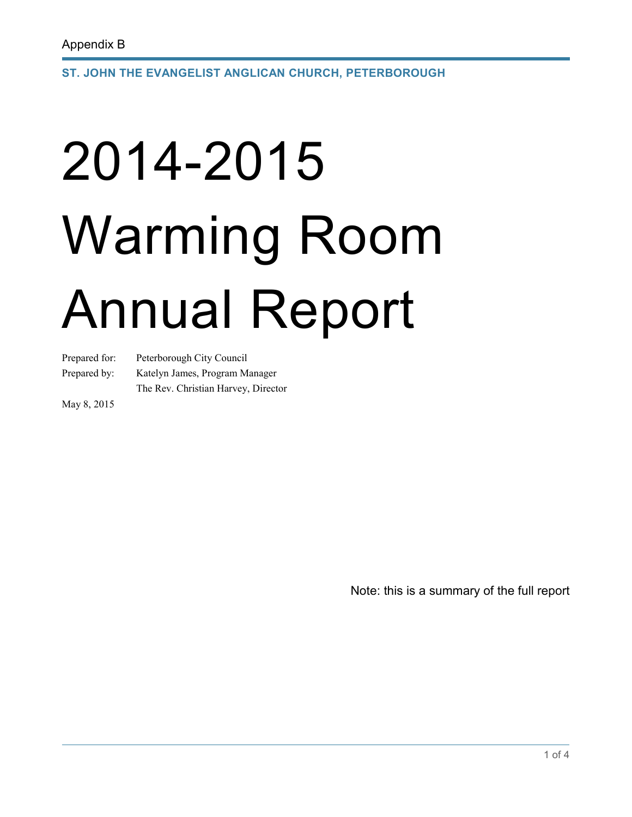**ST. JOHN THE EVANGELIST ANGLICAN CHURCH, PETERBOROUGH** 

# 2014-2015 Warming Room Annual Report

Prepared for: Peterborough City Council

Prepared by: Katelyn James, Program Manager

The Rev. Christian Harvey, Director

May 8, 2015

Note: this is a summary of the full report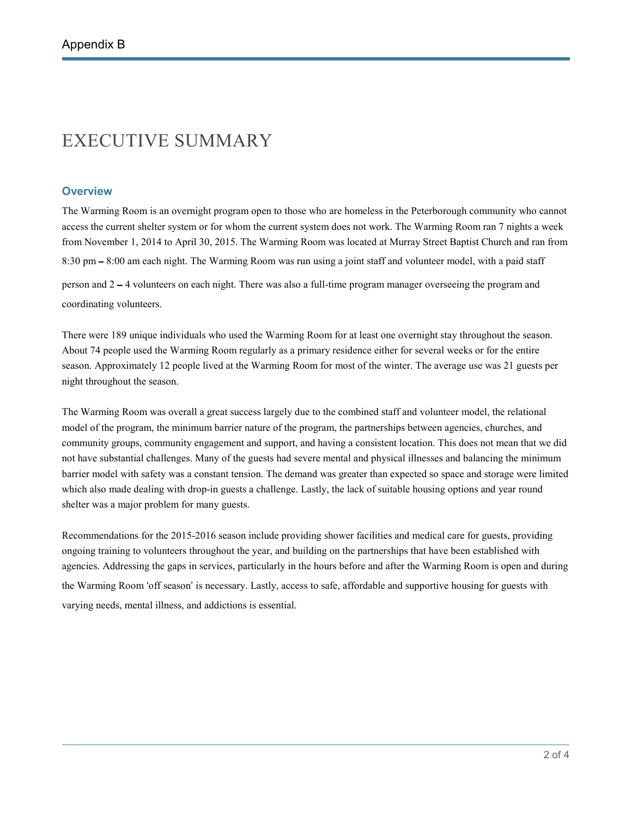### EXECUTIVE SUMMARY

#### **Overview**

The Warming Room is an overnight program open to those who are homeless in the Peterborough community who cannot access the current shelter system or for whom the current system does not work. The Warming Room ran 7 nights a week from November 1, 2014 to April 30, 2015. The Warming Room was located at Murray Street Baptist Church and ran from 8:30 pm – 8:00 am each night. The Warming Room was run using a joint staff and volunteer model, with a paid staff person and 2 – 4 volunteers on each night. There was also a full-time program manager overseeing the program and

coordinating volunteers.

There were 189 unique individuals who used the Warming Room for at least one overnight stay throughout the season. About 74 people used the Warming Room regularly as a primary residence either for several weeks or for the entire season. Approximately 12 people lived at the Warming Room for most of the winter. The average use was 21 guests per night throughout the season.

The Warming Room was overall a great success largely due to the combined staff and volunteer model, the relational model of the program, the minimum barrier nature of the program, the partnerships between agencies, churches, and community groups, community engagement and support, and having a consistent location. This does not mean that we did not have substantial challenges. Many of the guests had severe mental and physical illnesses and balancing the minimum barrier model with safety was a constant tension. The demand was greater than expected so space and storage were limited which also made dealing with drop-in guests a challenge. Lastly, the lack of suitable housing options and year round shelter was a major problem for many guests.

Recommendations for the 2015-2016 season include providing shower facilities and medical care for guests, providing ongoing training to volunteers throughout the year, and building on the partnerships that have been established with agencies. Addressing the gaps in services, particularly in the hours before and after the Warming Room is open and during the Warming Room 'off season' is necessary. Lastly, access to safe, affordable and supportive housing for guests with varying needs, mental illness, and addictions is essential.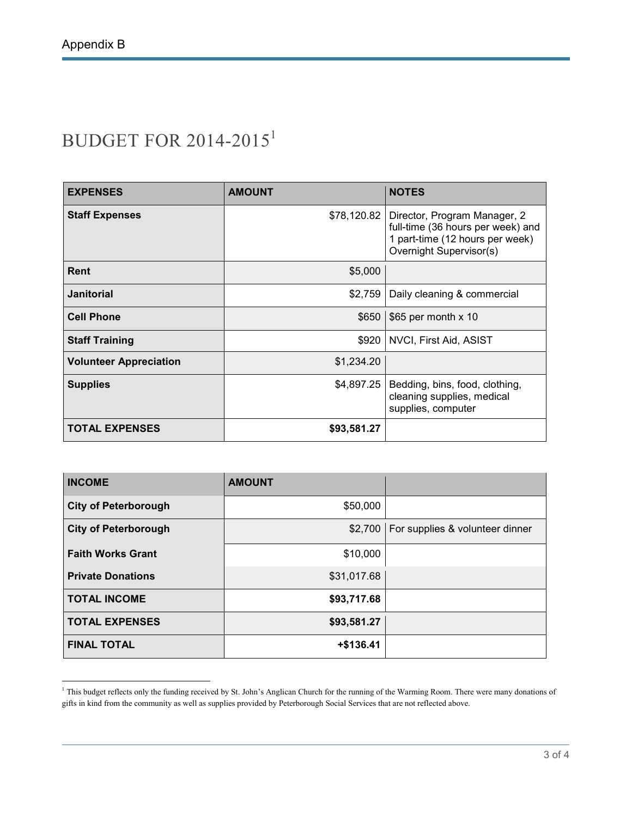## BUDGET FOR 2014-2015<sup>1</sup>

| <b>EXPENSES</b>               | <b>AMOUNT</b> | <b>NOTES</b>                                                                                                                           |
|-------------------------------|---------------|----------------------------------------------------------------------------------------------------------------------------------------|
| <b>Staff Expenses</b>         | \$78,120.82   | Director, Program Manager, 2<br>full-time (36 hours per week) and<br>1 part-time (12 hours per week)<br><b>Overnight Supervisor(s)</b> |
| Rent                          | \$5,000       |                                                                                                                                        |
| <b>Janitorial</b>             | \$2,759       | Daily cleaning & commercial                                                                                                            |
| <b>Cell Phone</b>             | \$650         | \$65 per month x 10                                                                                                                    |
| <b>Staff Training</b>         | \$920         | NVCI, First Aid, ASIST                                                                                                                 |
| <b>Volunteer Appreciation</b> | \$1,234.20    |                                                                                                                                        |
| <b>Supplies</b>               | \$4,897.25    | Bedding, bins, food, clothing,<br>cleaning supplies, medical<br>supplies, computer                                                     |
| <b>TOTAL EXPENSES</b>         | \$93,581.27   |                                                                                                                                        |

| <b>INCOME</b>               | <b>AMOUNT</b> |                                           |
|-----------------------------|---------------|-------------------------------------------|
| <b>City of Peterborough</b> | \$50,000      |                                           |
| <b>City of Peterborough</b> |               | \$2,700   For supplies & volunteer dinner |
| <b>Faith Works Grant</b>    | \$10,000      |                                           |
| <b>Private Donations</b>    | \$31,017.68   |                                           |
| <b>TOTAL INCOME</b>         | \$93,717.68   |                                           |
| <b>TOTAL EXPENSES</b>       | \$93,581.27   |                                           |
| <b>FINAL TOTAL</b>          | +\$136.41     |                                           |

<sup>&</sup>lt;sup>1</sup> This budget reflects only the funding received by St. John's Anglican Church for the running of the Warming Room. There were many donations of gifts in kind from the community as well as supplies provided by Peterborough Social Services that are not reflected above.